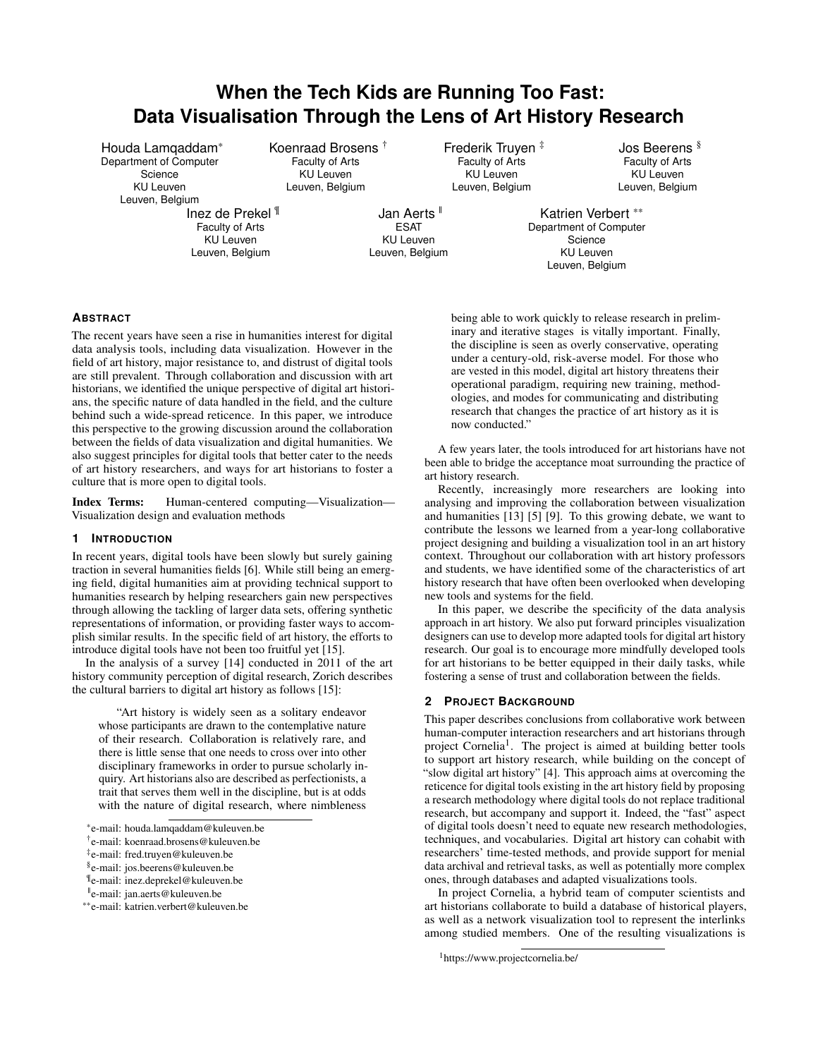# **When the Tech Kids are Running Too Fast: Data Visualisation Through the Lens of Art History Research**

Houda Lamqaddam\* Department of Computer Science KU Leuven Leuven, Belgium

Inez de Prekel ¶ Faculty of Arts KU Leuven Leuven, Belgium

Koenraad Brosens † Faculty of Arts KU Leuven Leuven, Belgium

Frederik Truyen ‡ Faculty of Arts KU Leuven Leuven, Belgium

Jos Beerens § Faculty of Arts KU Leuven Leuven, Belgium

Jan Aerts<sup>II</sup> ESAT KU Leuven Leuven, Belgium

Katrien Verbert \*\* Department of Computer **Science** KU Leuven Leuven, Belgium

# **ABSTRACT**

The recent years have seen a rise in humanities interest for digital data analysis tools, including data visualization. However in the field of art history, major resistance to, and distrust of digital tools are still prevalent. Through collaboration and discussion with art historians, we identified the unique perspective of digital art historians, the specific nature of data handled in the field, and the culture behind such a wide-spread reticence. In this paper, we introduce this perspective to the growing discussion around the collaboration between the fields of data visualization and digital humanities. We also suggest principles for digital tools that better cater to the needs of art history researchers, and ways for art historians to foster a culture that is more open to digital tools.

Index Terms: Human-centered computing—Visualization— Visualization design and evaluation methods

# **1 INTRODUCTION**

In recent years, digital tools have been slowly but surely gaining traction in several humanities fields [\[6\]](#page-3-0). While still being an emerging field, digital humanities aim at providing technical support to humanities research by helping researchers gain new perspectives through allowing the tackling of larger data sets, offering synthetic representations of information, or providing faster ways to accomplish similar results. In the specific field of art history, the efforts to introduce digital tools have not been too fruitful yet [\[15\]](#page-3-1).

In the analysis of a survey [\[14\]](#page-3-2) conducted in 2011 of the art history community perception of digital research, Zorich describes the cultural barriers to digital art history as follows [\[15\]](#page-3-1):

"Art history is widely seen as a solitary endeavor whose participants are drawn to the contemplative nature of their research. Collaboration is relatively rare, and there is little sense that one needs to cross over into other disciplinary frameworks in order to pursue scholarly inquiry. Art historians also are described as perfectionists, a trait that serves them well in the discipline, but is at odds with the nature of digital research, where nimbleness

being able to work quickly to release research in preliminary and iterative stages is vitally important. Finally, the discipline is seen as overly conservative, operating under a century-old, risk-averse model. For those who are vested in this model, digital art history threatens their operational paradigm, requiring new training, methodologies, and modes for communicating and distributing research that changes the practice of art history as it is now conducted."

A few years later, the tools introduced for art historians have not been able to bridge the acceptance moat surrounding the practice of art history research.

Recently, increasingly more researchers are looking into analysing and improving the collaboration between visualization and humanities  $\overline{[13]}$  $\overline{[13]}$  $\overline{[13]}$   $\overline{[5]}$  $\overline{[5]}$  $\overline{[5]}$   $\overline{[9]}$  $\overline{[9]}$  $\overline{[9]}$ . To this growing debate, we want to contribute the lessons we learned from a year-long collaborative project designing and building a visualization tool in an art history context. Throughout our collaboration with art history professors and students, we have identified some of the characteristics of art history research that have often been overlooked when developing new tools and systems for the field.

In this paper, we describe the specificity of the data analysis approach in art history. We also put forward principles visualization designers can use to develop more adapted tools for digital art history research. Our goal is to encourage more mindfully developed tools for art historians to be better equipped in their daily tasks, while fostering a sense of trust and collaboration between the fields.

## **2 PROJECT BACKGROUND**

This paper describes conclusions from collaborative work between human-computer interaction researchers and art historians through project Cornelia<sup>[1](#page-0-0)</sup>. The project is aimed at building better tools to support art history research, while building on the concept of "slow digital art history" [\[4\]](#page-3-6). This approach aims at overcoming the reticence for digital tools existing in the art history field by proposing a research methodology where digital tools do not replace traditional research, but accompany and support it. Indeed, the "fast" aspect of digital tools doesn't need to equate new research methodologies, techniques, and vocabularies. Digital art history can cohabit with researchers' time-tested methods, and provide support for menial data archival and retrieval tasks, as well as potentially more complex ones, through databases and adapted visualizations tools.

In project Cornelia, a hybrid team of computer scientists and art historians collaborate to build a database of historical players, as well as a network visualization tool to represent the interlinks among studied members. One of the resulting visualizations is

<sup>\*</sup>e-mail: houda.lamqaddam@kuleuven.be

<sup>†</sup> e-mail: koenraad.brosens@kuleuven.be

<sup>‡</sup> e-mail: fred.truyen@kuleuven.be

<sup>§</sup> e-mail: jos.beerens@kuleuven.be

<sup>¶</sup> e-mail: inez.deprekel@kuleuven.be

<sup>||</sup>e-mail: jan.aerts@kuleuven.be

<sup>\*\*</sup>e-mail: katrien.verbert@kuleuven.be

<span id="page-0-0"></span><sup>1</sup>https://www.projectcornelia.be/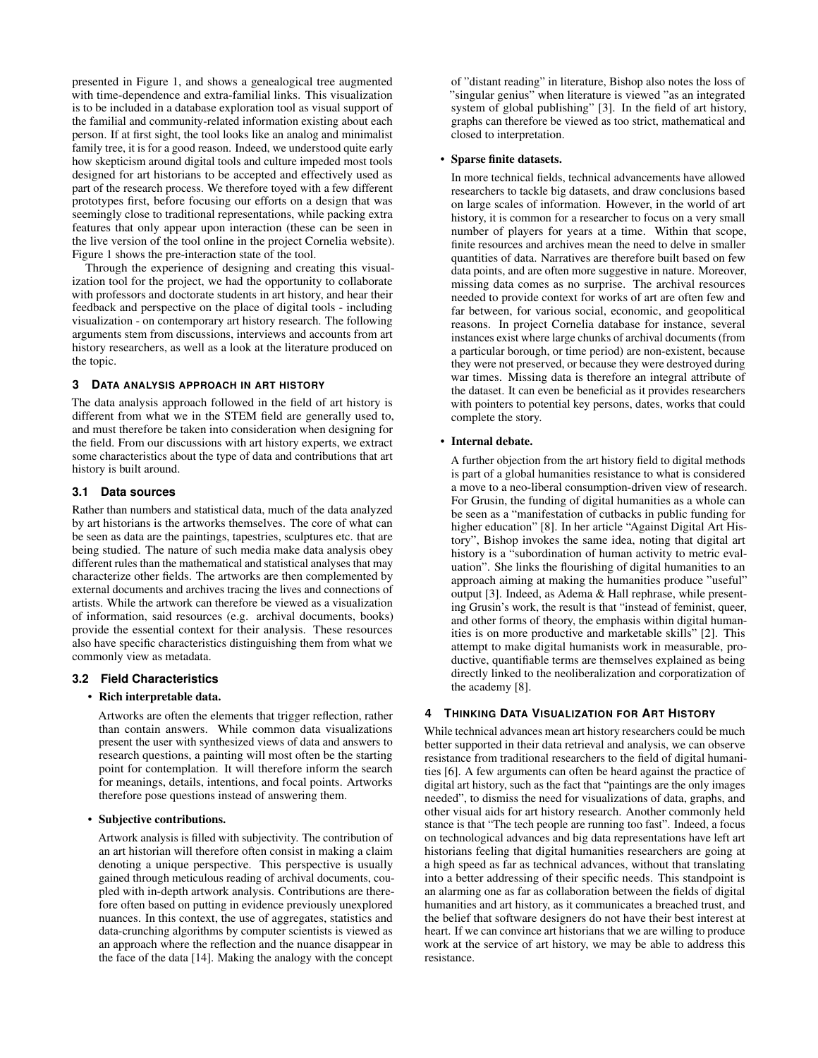presented in Figure 1, and shows a genealogical tree augmented with time-dependence and extra-familial links. This visualization is to be included in a database exploration tool as visual support of the familial and community-related information existing about each person. If at first sight, the tool looks like an analog and minimalist family tree, it is for a good reason. Indeed, we understood quite early how skepticism around digital tools and culture impeded most tools designed for art historians to be accepted and effectively used as part of the research process. We therefore toyed with a few different prototypes first, before focusing our efforts on a design that was seemingly close to traditional representations, while packing extra features that only appear upon interaction (these can be seen in the live version of the tool online in the project Cornelia website). Figure 1 shows the pre-interaction state of the tool.

Through the experience of designing and creating this visualization tool for the project, we had the opportunity to collaborate with professors and doctorate students in art history, and hear their feedback and perspective on the place of digital tools - including visualization - on contemporary art history research. The following arguments stem from discussions, interviews and accounts from art history researchers, as well as a look at the literature produced on the topic.

## **3 DATA ANALYSIS APPROACH IN ART HISTORY**

The data analysis approach followed in the field of art history is different from what we in the STEM field are generally used to, and must therefore be taken into consideration when designing for the field. From our discussions with art history experts, we extract some characteristics about the type of data and contributions that art history is built around.

## **3.1 Data sources**

Rather than numbers and statistical data, much of the data analyzed by art historians is the artworks themselves. The core of what can be seen as data are the paintings, tapestries, sculptures etc. that are being studied. The nature of such media make data analysis obey different rules than the mathematical and statistical analyses that may characterize other fields. The artworks are then complemented by external documents and archives tracing the lives and connections of artists. While the artwork can therefore be viewed as a visualization of information, said resources (e.g. archival documents, books) provide the essential context for their analysis. These resources also have specific characteristics distinguishing them from what we commonly view as metadata.

# **3.2 Field Characteristics**

## • Rich interpretable data.

Artworks are often the elements that trigger reflection, rather than contain answers. While common data visualizations present the user with synthesized views of data and answers to research questions, a painting will most often be the starting point for contemplation. It will therefore inform the search for meanings, details, intentions, and focal points. Artworks therefore pose questions instead of answering them.

## • Subjective contributions.

Artwork analysis is filled with subjectivity. The contribution of an art historian will therefore often consist in making a claim denoting a unique perspective. This perspective is usually gained through meticulous reading of archival documents, coupled with in-depth artwork analysis. Contributions are therefore often based on putting in evidence previously unexplored nuances. In this context, the use of aggregates, statistics and data-crunching algorithms by computer scientists is viewed as an approach where the reflection and the nuance disappear in the face of the data [\[14\]](#page-3-2). Making the analogy with the concept

of "distant reading" in literature, Bishop also notes the loss of "singular genius" when literature is viewed "as an integrated system of global publishing" [\[3\]](#page-3-7). In the field of art history, graphs can therefore be viewed as too strict, mathematical and closed to interpretation.

# • Sparse finite datasets.

In more technical fields, technical advancements have allowed researchers to tackle big datasets, and draw conclusions based on large scales of information. However, in the world of art history, it is common for a researcher to focus on a very small number of players for years at a time. Within that scope, finite resources and archives mean the need to delve in smaller quantities of data. Narratives are therefore built based on few data points, and are often more suggestive in nature. Moreover, missing data comes as no surprise. The archival resources needed to provide context for works of art are often few and far between, for various social, economic, and geopolitical reasons. In project Cornelia database for instance, several instances exist where large chunks of archival documents (from a particular borough, or time period) are non-existent, because they were not preserved, or because they were destroyed during war times. Missing data is therefore an integral attribute of the dataset. It can even be beneficial as it provides researchers with pointers to potential key persons, dates, works that could complete the story.

# • Internal debate.

A further objection from the art history field to digital methods is part of a global humanities resistance to what is considered a move to a neo-liberal consumption-driven view of research. For Grusin, the funding of digital humanities as a whole can be seen as a "manifestation of cutbacks in public funding for higher education" [\[8\]](#page-3-8). In her article "Against Digital Art History", Bishop invokes the same idea, noting that digital art history is a "subordination of human activity to metric evaluation". She links the flourishing of digital humanities to an approach aiming at making the humanities produce "useful" output [\[3\]](#page-3-7). Indeed, as Adema & Hall rephrase, while presenting Grusin's work, the result is that "instead of feminist, queer, and other forms of theory, the emphasis within digital humanities is on more productive and marketable skills" [\[2\]](#page-3-9). This attempt to make digital humanists work in measurable, productive, quantifiable terms are themselves explained as being directly linked to the neoliberalization and corporatization of the academy [\[8\]](#page-3-8).

# **4 THINKING DATA VISUALIZATION FOR ART HISTORY**

While technical advances mean art history researchers could be much better supported in their data retrieval and analysis, we can observe resistance from traditional researchers to the field of digital humanities [\[6\]](#page-3-0). A few arguments can often be heard against the practice of digital art history, such as the fact that "paintings are the only images needed", to dismiss the need for visualizations of data, graphs, and other visual aids for art history research. Another commonly held stance is that "The tech people are running too fast". Indeed, a focus on technological advances and big data representations have left art historians feeling that digital humanities researchers are going at a high speed as far as technical advances, without that translating into a better addressing of their specific needs. This standpoint is an alarming one as far as collaboration between the fields of digital humanities and art history, as it communicates a breached trust, and the belief that software designers do not have their best interest at heart. If we can convince art historians that we are willing to produce work at the service of art history, we may be able to address this resistance.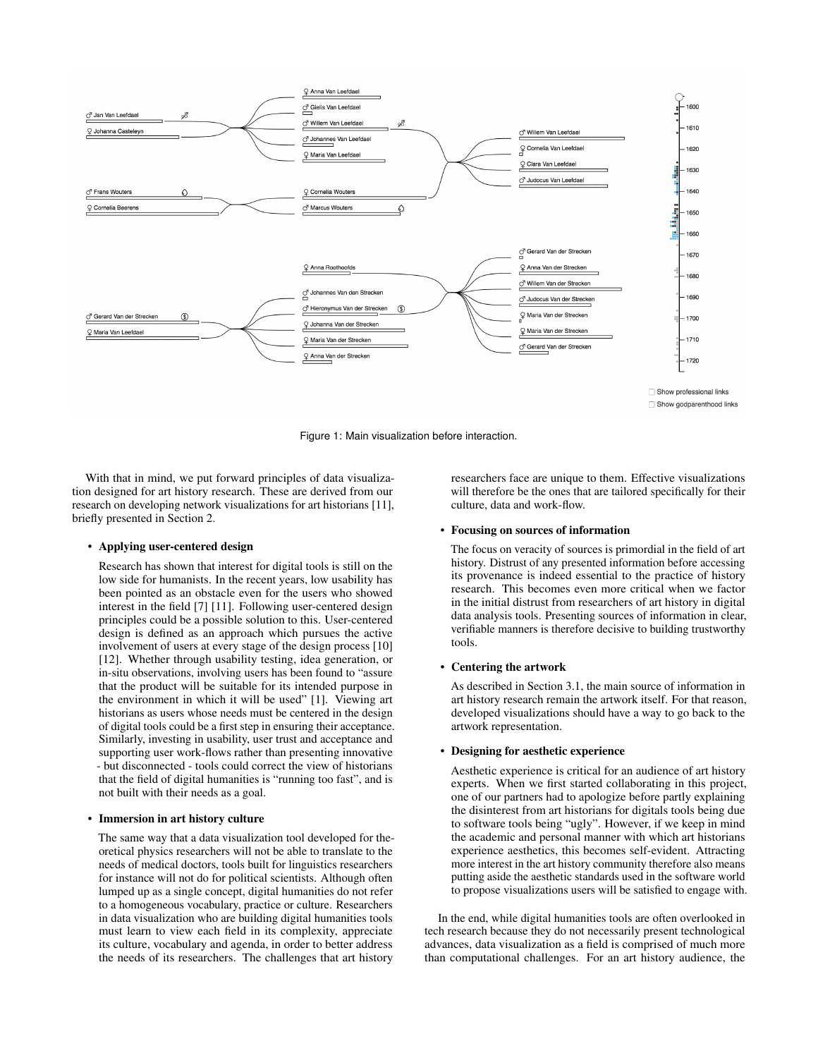

Figure 1: Main visualization before interaction.

With that in mind, we put forward principles of data visualization designed for art history research. These are derived from our research on developing network visualizations for art historians [\[11\]](#page-3-10), briefly presented in Section 2.

#### • Applying user-centered design

Research has shown that interest for digital tools is still on the low side for humanists. In the recent years, low usability has been pointed as an obstacle even for the users who showed interest in the field [\[7\]](#page-3-11) [\[11\]](#page-3-10). Following user-centered design principles could be a possible solution to this. User-centered design is defined as an approach which pursues the active involvement of users at every stage of the design process [\[10\]](#page-3-12) [\[12\]](#page-3-13). Whether through usability testing, idea generation, or in-situ observations, involving users has been found to "assure that the product will be suitable for its intended purpose in the environment in which it will be used" [\[1\]](#page-3-14). Viewing art historians as users whose needs must be centered in the design of digital tools could be a first step in ensuring their acceptance. Similarly, investing in usability, user trust and acceptance and supporting user work-flows rather than presenting innovative - but disconnected - tools could correct the view of historians that the field of digital humanities is "running too fast", and is not built with their needs as a goal.

## • Immersion in art history culture

The same way that a data visualization tool developed for theoretical physics researchers will not be able to translate to the needs of medical doctors, tools built for linguistics researchers for instance will not do for political scientists. Although often lumped up as a single concept, digital humanities do not refer to a homogeneous vocabulary, practice or culture. Researchers in data visualization who are building digital humanities tools must learn to view each field in its complexity, appreciate its culture, vocabulary and agenda, in order to better address the needs of its researchers. The challenges that art history

researchers face are unique to them. Effective visualizations will therefore be the ones that are tailored specifically for their culture, data and work-flow.

#### • Focusing on sources of information

The focus on veracity of sources is primordial in the field of art history. Distrust of any presented information before accessing its provenance is indeed essential to the practice of history research. This becomes even more critical when we factor in the initial distrust from researchers of art history in digital data analysis tools. Presenting sources of information in clear, verifiable manners is therefore decisive to building trustworthy tools.

# • Centering the artwork

As described in Section 3.1, the main source of information in art history research remain the artwork itself. For that reason, developed visualizations should have a way to go back to the artwork representation.

## • Designing for aesthetic experience

Aesthetic experience is critical for an audience of art history experts. When we first started collaborating in this project, one of our partners had to apologize before partly explaining the disinterest from art historians for digitals tools being due to software tools being "ugly". However, if we keep in mind the academic and personal manner with which art historians experience aesthetics, this becomes self-evident. Attracting more interest in the art history community therefore also means putting aside the aesthetic standards used in the software world to propose visualizations users will be satisfied to engage with.

In the end, while digital humanities tools are often overlooked in tech research because they do not necessarily present technological advances, data visualization as a field is comprised of much more than computational challenges. For an art history audience, the